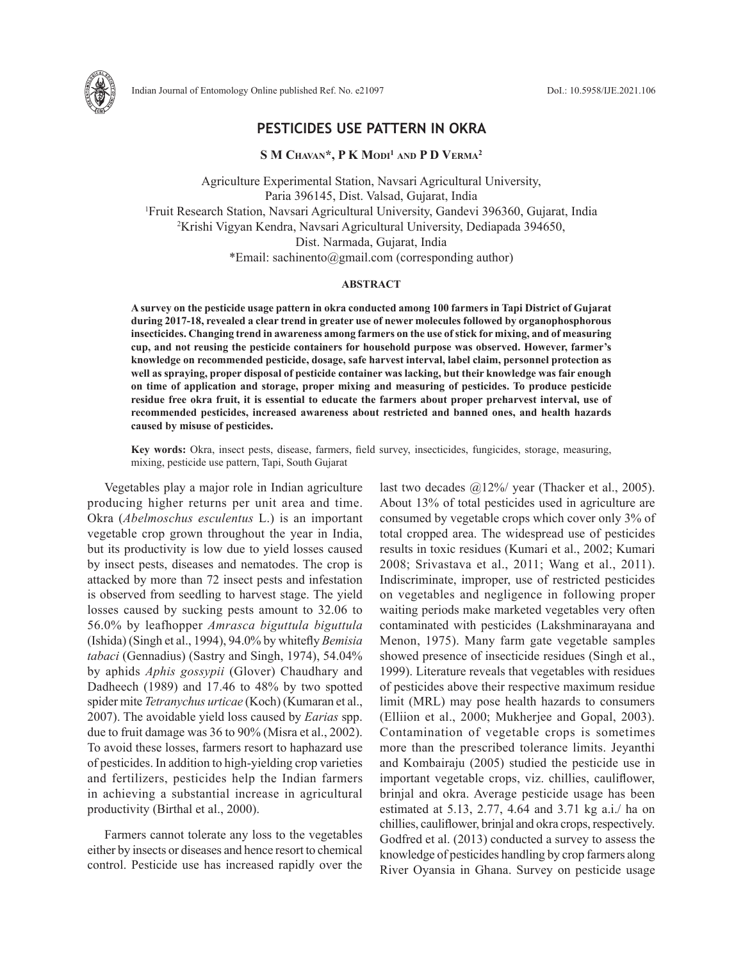

# **PESTICIDES USE PATTERN IN OKRA**

**S M Chavan\*, P K Modi1 and P D Verma2**

Agriculture Experimental Station, Navsari Agricultural University, Paria 396145, Dist. Valsad, Gujarat, India 1 Fruit Research Station, Navsari Agricultural University, Gandevi 396360, Gujarat, India 2 Krishi Vigyan Kendra, Navsari Agricultural University, Dediapada 394650, Dist. Narmada, Gujarat, India \*Email: sachinento@gmail.com (corresponding author)

## **ABSTRACT**

**A survey on the pesticide usage pattern in okra conducted among 100 farmers in Tapi District of Gujarat during 2017-18, revealed a clear trend in greater use of newer molecules followed by organophosphorous insecticides. Changing trend in awareness among farmers on the use of stick for mixing, and of measuring cup, and not reusing the pesticide containers for household purpose was observed. However, farmer's knowledge on recommended pesticide, dosage, safe harvest interval, label claim, personnel protection as well as spraying, proper disposal of pesticide container was lacking, but their knowledge was fair enough on time of application and storage, proper mixing and measuring of pesticides. To produce pesticide residue free okra fruit, it is essential to educate the farmers about proper preharvest interval, use of recommended pesticides, increased awareness about restricted and banned ones, and health hazards caused by misuse of pesticides.**

**Key words:** Okra, insect pests, disease, farmers, field survey, insecticides, fungicides, storage, measuring, mixing, pesticide use pattern, Tapi, South Gujarat

Vegetables play a major role in Indian agriculture producing higher returns per unit area and time. Okra (*Abelmoschus esculentus* L.) is an important vegetable crop grown throughout the year in India, but its productivity is low due to yield losses caused by insect pests, diseases and nematodes. The crop is attacked by more than 72 insect pests and infestation is observed from seedling to harvest stage. The yield losses caused by sucking pests amount to 32.06 to 56.0% by leafhopper *Amrasca biguttula biguttula* (Ishida) (Singh et al., 1994), 94.0% by whitefly *Bemisia tabaci* (Gennadius) (Sastry and Singh, 1974), 54.04% by aphids *Aphis gossypii* (Glover) Chaudhary and Dadheech (1989) and 17.46 to 48% by two spotted spider mite *Tetranychus urticae* (Koch) (Kumaran et al., 2007). The avoidable yield loss caused by *Earias* spp. due to fruit damage was 36 to 90% (Misra et al., 2002). To avoid these losses, farmers resort to haphazard use of pesticides. In addition to high-yielding crop varieties and fertilizers, pesticides help the Indian farmers in achieving a substantial increase in agricultural productivity (Birthal et al., 2000).

Farmers cannot tolerate any loss to the vegetables either by insects or diseases and hence resort to chemical control. Pesticide use has increased rapidly over the

last two decades @12%/ year (Thacker et al., 2005). About 13% of total pesticides used in agriculture are consumed by vegetable crops which cover only 3% of total cropped area. The widespread use of pesticides results in toxic residues (Kumari et al., 2002; Kumari 2008; Srivastava et al., 2011; Wang et al., 2011). Indiscriminate, improper, use of restricted pesticides on vegetables and negligence in following proper waiting periods make marketed vegetables very often contaminated with pesticides (Lakshminarayana and Menon, 1975). Many farm gate vegetable samples showed presence of insecticide residues (Singh et al., 1999). Literature reveals that vegetables with residues of pesticides above their respective maximum residue limit (MRL) may pose health hazards to consumers (Elliion et al., 2000; Mukherjee and Gopal, 2003). Contamination of vegetable crops is sometimes more than the prescribed tolerance limits. Jeyanthi and Kombairaju (2005) studied the pesticide use in important vegetable crops, viz. chillies, cauliflower, brinjal and okra. Average pesticide usage has been estimated at 5.13, 2.77, 4.64 and 3.71 kg a.i./ ha on chillies, cauliflower, brinjal and okra crops, respectively. Godfred et al. (2013) conducted a survey to assess the knowledge of pesticides handling by crop farmers along River Oyansia in Ghana. Survey on pesticide usage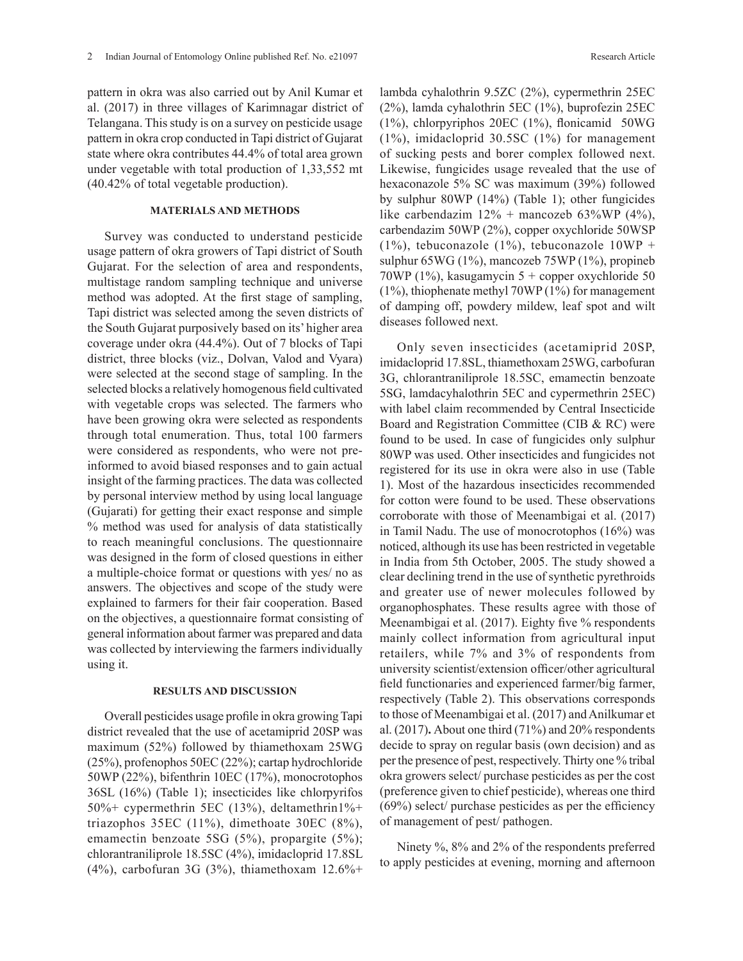pattern in okra was also carried out by Anil Kumar et al. (2017) in three villages of Karimnagar district of Telangana. This study is on a survey on pesticide usage pattern in okra crop conducted in Tapi district of Gujarat state where okra contributes 44.4% of total area grown under vegetable with total production of 1,33,552 mt (40.42% of total vegetable production).

## **MATERIALS AND METHODS**

Survey was conducted to understand pesticide usage pattern of okra growers of Tapi district of South Gujarat. For the selection of area and respondents, multistage random sampling technique and universe method was adopted. At the first stage of sampling, Tapi district was selected among the seven districts of the South Gujarat purposively based on its' higher area coverage under okra (44.4%). Out of 7 blocks of Tapi district, three blocks (viz., Dolvan, Valod and Vyara) were selected at the second stage of sampling. In the selected blocks a relatively homogenous field cultivated with vegetable crops was selected. The farmers who have been growing okra were selected as respondents through total enumeration. Thus, total 100 farmers were considered as respondents, who were not preinformed to avoid biased responses and to gain actual insight of the farming practices. The data was collected by personal interview method by using local language (Gujarati) for getting their exact response and simple % method was used for analysis of data statistically to reach meaningful conclusions. The questionnaire was designed in the form of closed questions in either a multiple-choice format or questions with yes/ no as answers. The objectives and scope of the study were explained to farmers for their fair cooperation. Based on the objectives, a questionnaire format consisting of general information about farmer was prepared and data was collected by interviewing the farmers individually using it.

# **RESULTS AND DISCUSSION**

Overall pesticides usage profile in okra growing Tapi district revealed that the use of acetamiprid 20SP was maximum (52%) followed by thiamethoxam 25WG (25%), profenophos 50EC (22%); cartap hydrochloride 50WP (22%), bifenthrin 10EC (17%), monocrotophos 36SL (16%) (Table 1); insecticides like chlorpyrifos 50%+ cypermethrin 5EC (13%), deltamethrin1%+ triazophos 35EC (11%), dimethoate 30EC (8%), emamectin benzoate 5SG (5%), propargite (5%); chlorantraniliprole 18.5SC (4%), imidacloprid 17.8SL (4%), carbofuran 3G (3%), thiamethoxam  $12.6%$ + lambda cyhalothrin 9.5ZC (2%), cypermethrin 25EC (2%), lamda cyhalothrin 5EC (1%), buprofezin 25EC (1%), chlorpyriphos 20EC (1%), flonicamid 50WG (1%), imidacloprid 30.5SC (1%) for management of sucking pests and borer complex followed next. Likewise, fungicides usage revealed that the use of hexaconazole 5% SC was maximum (39%) followed by sulphur 80WP (14%) (Table 1); other fungicides like carbendazim  $12\%$  + mancozeb 63%WP (4%), carbendazim 50WP (2%), copper oxychloride 50WSP  $(1\%)$ , tebuconazole  $(1\%)$ , tebuconazole  $10WP +$ sulphur 65WG (1%), mancozeb 75WP (1%), propineb 70WP (1%), kasugamycin 5 + copper oxychloride 50 (1%), thiophenate methyl 70WP (1%) for management of damping off, powdery mildew, leaf spot and wilt diseases followed next.

Only seven insecticides (acetamiprid 20SP, imidacloprid 17.8SL, thiamethoxam 25WG, carbofuran 3G, chlorantraniliprole 18.5SC, emamectin benzoate 5SG, lamdacyhalothrin 5EC and cypermethrin 25EC) with label claim recommended by Central Insecticide Board and Registration Committee (CIB & RC) were found to be used. In case of fungicides only sulphur 80WP was used. Other insecticides and fungicides not registered for its use in okra were also in use (Table 1). Most of the hazardous insecticides recommended for cotton were found to be used. These observations corroborate with those of Meenambigai et al. (2017) in Tamil Nadu. The use of monocrotophos (16%) was noticed, although its use has been restricted in vegetable in India from 5th October, 2005. The study showed a clear declining trend in the use of synthetic pyrethroids and greater use of newer molecules followed by organophosphates. These results agree with those of Meenambigai et al. (2017). Eighty five % respondents mainly collect information from agricultural input retailers, while 7% and 3% of respondents from university scientist/extension officer/other agricultural field functionaries and experienced farmer/big farmer, respectively (Table 2). This observations corresponds to those of Meenambigai et al. (2017) and Anilkumar et al. (2017)**.** About one third (71%) and 20% respondents decide to spray on regular basis (own decision) and as per the presence of pest, respectively. Thirty one % tribal okra growers select/ purchase pesticides as per the cost (preference given to chief pesticide), whereas one third (69%) select/ purchase pesticides as per the efficiency of management of pest/ pathogen.

Ninety %, 8% and 2% of the respondents preferred to apply pesticides at evening, morning and afternoon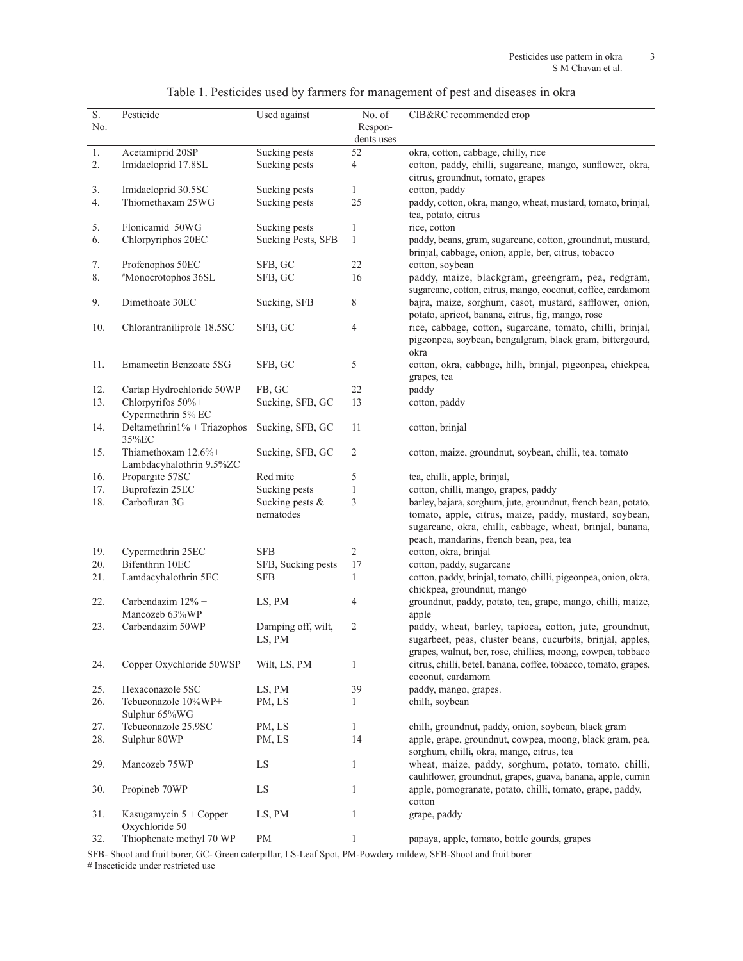|  |  | Table 1. Pesticides used by farmers for management of pest and diseases in okra |  |  |  |
|--|--|---------------------------------------------------------------------------------|--|--|--|
|  |  |                                                                                 |  |  |  |
|  |  |                                                                                 |  |  |  |
|  |  |                                                                                 |  |  |  |

| S.  | Pesticide                       | Used against              | No. of         | CIB&RC recommended crop                                         |
|-----|---------------------------------|---------------------------|----------------|-----------------------------------------------------------------|
| No. |                                 |                           | Respon-        |                                                                 |
|     |                                 |                           | dents uses     |                                                                 |
| 1.  | Acetamiprid 20SP                | Sucking pests             | 52             | okra, cotton, cabbage, chilly, rice                             |
| 2.  | Imidacloprid 17.8SL             | Sucking pests             | 4              | cotton, paddy, chilli, sugarcane, mango, sunflower, okra,       |
|     |                                 |                           |                | citrus, groundnut, tomato, grapes                               |
| 3.  | Imidacloprid 30.5SC             | Sucking pests             | 1              | cotton, paddy                                                   |
| 4.  | Thiomethaxam 25WG               | Sucking pests             | 25             | paddy, cotton, okra, mango, wheat, mustard, tomato, brinjal,    |
|     |                                 |                           |                | tea, potato, citrus                                             |
| 5.  | Flonicamid 50WG                 | Sucking pests             | 1              | rice, cotton                                                    |
| 6.  | Chlorpyriphos 20EC              | <b>Sucking Pests, SFB</b> | $\mathbf{1}$   | paddy, beans, gram, sugarcane, cotton, groundnut, mustard,      |
|     |                                 |                           |                | brinjal, cabbage, onion, apple, ber, citrus, tobacco            |
| 7.  | Profenophos 50EC                | SFB, GC                   | 22             | cotton, soybean                                                 |
| 8.  | #Monocrotophos 36SL             | SFB, GC                   | 16             | paddy, maize, blackgram, greengram, pea, redgram,               |
|     |                                 |                           |                | sugarcane, cotton, citrus, mango, coconut, coffee, cardamom     |
| 9.  | Dimethoate 30EC                 | Sucking, SFB              | 8              | bajra, maize, sorghum, casot, mustard, safflower, onion,        |
|     |                                 |                           |                | potato, apricot, banana, citrus, fig, mango, rose               |
| 10. | Chlorantraniliprole 18.5SC      | SFB, GC                   | 4              | rice, cabbage, cotton, sugarcane, tomato, chilli, brinjal,      |
|     |                                 |                           |                | pigeonpea, soybean, bengalgram, black gram, bittergourd,        |
|     |                                 |                           |                | okra                                                            |
| 11. | Emamectin Benzoate 5SG          | SFB, GC                   | 5              | cotton, okra, cabbage, hilli, brinjal, pigeonpea, chickpea,     |
|     |                                 |                           |                | grapes, tea                                                     |
| 12. | Cartap Hydrochloride 50WP       | FB, GC                    | 22             | paddy                                                           |
| 13. | Chlorpyrifos 50%+               | Sucking, SFB, GC          | 13             | cotton, paddy                                                   |
|     | Cypermethrin 5% EC              |                           |                |                                                                 |
| 14. | Deltamethrin $1\%$ + Triazophos | Sucking, SFB, GC          | 11             | cotton, brinjal                                                 |
|     | 35%EC                           |                           |                |                                                                 |
| 15. | Thiamethoxam 12.6%+             | Sucking, SFB, GC          | $\overline{c}$ | cotton, maize, ground nut, soybean, chilli, tea, tomato         |
|     | Lambdacyhalothrin 9.5%ZC        |                           |                |                                                                 |
| 16. | Propargite 57SC                 | Red mite                  | 5              | tea, chilli, apple, brinjal,                                    |
| 17. | Buprofezin 25EC                 | Sucking pests             | 1              | cotton, chilli, mango, grapes, paddy                            |
| 18. | Carbofuran 3G                   | Sucking pests &           | 3              | barley, bajara, sorghum, jute, groundnut, french bean, potato,  |
|     |                                 | nematodes                 |                | tomato, apple, citrus, maize, paddy, mustard, soybean,          |
|     |                                 |                           |                | sugarcane, okra, chilli, cabbage, wheat, brinjal, banana,       |
|     |                                 |                           |                | peach, mandarins, french bean, pea, tea                         |
| 19. | Cypermethrin 25EC               | <b>SFB</b>                | 2              | cotton, okra, brinjal                                           |
| 20. | Bifenthrin 10EC                 | SFB, Sucking pests        | 17             | cotton, paddy, sugarcane                                        |
| 21. | Lamdacyhalothrin 5EC            | <b>SFB</b>                | 1              | cotton, paddy, brinjal, tomato, chilli, pigeonpea, onion, okra, |
|     |                                 |                           |                | chickpea, groundnut, mango                                      |
| 22. | Carbendazim $12\%$ +            | LS, PM                    | 4              | groundnut, paddy, potato, tea, grape, mango, chilli, maize,     |
|     | Mancozeb 63%WP                  |                           |                | apple                                                           |
| 23. | Carbendazim 50WP                | Damping off, wilt,        | 2              | paddy, wheat, barley, tapioca, cotton, jute, groundnut,         |
|     |                                 | LS, PM                    |                | sugarbeet, peas, cluster beans, cucurbits, brinjal, apples,     |
|     |                                 |                           |                | grapes, walnut, ber, rose, chillies, moong, cowpea, tobbaco     |
| 24. | Copper Oxychloride 50WSP        | Wilt, LS, PM              | 1              | citrus, chilli, betel, banana, coffee, tobacco, tomato, grapes, |
|     |                                 |                           |                | coconut, cardamom                                               |
| 25. | Hexaconazole 5SC                | LS, PM                    | 39             | paddy, mango, grapes.                                           |
| 26. | Tebuconazole 10%WP+             | PM, LS                    | 1              | chilli, soybean                                                 |
|     | Sulphur 65%WG                   |                           |                |                                                                 |
| 27. | Tebuconazole 25.9SC             | PM, LS                    | 1              | chilli, groundnut, paddy, onion, soybean, black gram            |
| 28. | Sulphur 80WP                    | PM, LS                    | 14             | apple, grape, groundnut, cowpea, moong, black gram, pea,        |
|     |                                 |                           |                | sorghum, chilli, okra, mango, citrus, tea                       |
| 29. | Mancozeb 75WP                   | LS                        | $\mathbf{1}$   | wheat, maize, paddy, sorghum, potato, tomato, chilli,           |
|     |                                 |                           |                | cauliflower, groundnut, grapes, guava, banana, apple, cumin     |
| 30. | Propineb 70WP                   | LS                        | 1              | apple, pomogranate, potato, chilli, tomato, grape, paddy,       |
|     |                                 |                           |                | cotton                                                          |
| 31. | Kasugamycin $5 + \text{Copper}$ | LS, PM                    | 1              | grape, paddy                                                    |
|     | Oxychloride 50                  |                           |                |                                                                 |
| 32. | Thiophenate methyl 70 WP        | $\rm PM$                  | 1              | papaya, apple, tomato, bottle gourds, grapes                    |

SFB- Shoot and fruit borer, GC- Green caterpillar, LS-Leaf Spot, PM-Powdery mildew, SFB-Shoot and fruit borer # Insecticide under restricted use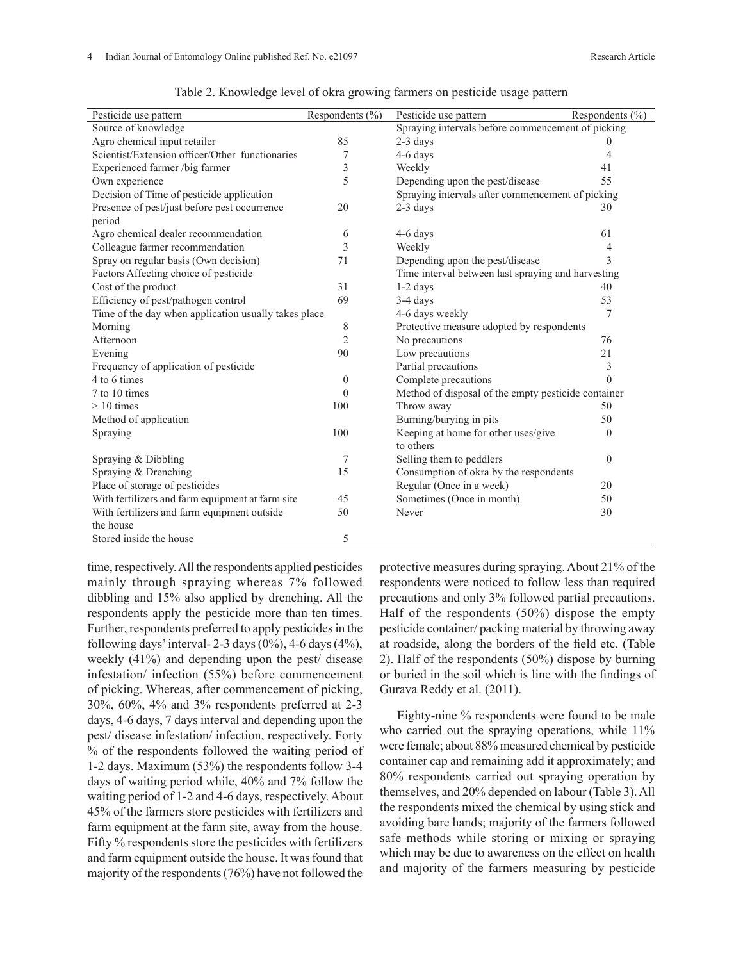| Pesticide use pattern                                | Respondents $(\% )$ | Pesticide use pattern                               | Respondents $(\% )$ |  |
|------------------------------------------------------|---------------------|-----------------------------------------------------|---------------------|--|
| Source of knowledge                                  |                     | Spraying intervals before commencement of picking   |                     |  |
| Agro chemical input retailer                         | 85                  | $2-3$ days                                          | $\theta$            |  |
| Scientist/Extension officer/Other functionaries      | 7                   | 4-6 days                                            | 4                   |  |
| Experienced farmer /big farmer                       | 3                   | Weekly                                              | 41                  |  |
| Own experience                                       | 5                   | Depending upon the pest/disease                     | 55                  |  |
| Decision of Time of pesticide application            |                     | Spraying intervals after commencement of picking    |                     |  |
| Presence of pest/just before pest occurrence         | 20                  | $2-3$ days                                          | 30                  |  |
| period                                               |                     |                                                     |                     |  |
| Agro chemical dealer recommendation                  | 6                   | 4-6 days                                            | 61                  |  |
| Colleague farmer recommendation                      | 3                   | Weekly                                              |                     |  |
| Spray on regular basis (Own decision)                | 71                  | Depending upon the pest/disease                     | 3                   |  |
| Factors Affecting choice of pesticide                |                     | Time interval between last spraying and harvesting  |                     |  |
| Cost of the product                                  | 31                  | $1-2$ days                                          | 40                  |  |
| Efficiency of pest/pathogen control                  | 69                  | 3-4 days                                            | 53                  |  |
| Time of the day when application usually takes place |                     | 4-6 days weekly                                     | 7                   |  |
| Morning                                              | 8                   | Protective measure adopted by respondents           |                     |  |
| Afternoon                                            | $\overline{2}$      | No precautions                                      | 76                  |  |
| Evening                                              | 90                  | Low precautions                                     | 21                  |  |
| Frequency of application of pesticide                |                     | Partial precautions                                 | 3                   |  |
| 4 to 6 times                                         | $\theta$            | Complete precautions                                | $\theta$            |  |
| 7 to 10 times                                        | $\mathbf{0}$        | Method of disposal of the empty pesticide container |                     |  |
| $>10$ times                                          | 100                 | Throw away                                          | 50                  |  |
| Method of application                                |                     | Burning/burying in pits                             | 50                  |  |
| Spraying                                             | 100                 | Keeping at home for other uses/give                 | $\overline{0}$      |  |
|                                                      |                     | to others                                           |                     |  |
| Spraying & Dibbling                                  | 7                   | Selling them to peddlers                            | $\overline{0}$      |  |
| Spraying & Drenching                                 | 15                  | Consumption of okra by the respondents              |                     |  |
| Place of storage of pesticides                       |                     | Regular (Once in a week)                            | 20                  |  |
| With fertilizers and farm equipment at farm site     | 45                  | Sometimes (Once in month)                           | 50                  |  |
| With fertilizers and farm equipment outside          | 50                  | Never                                               | 30                  |  |
| the house                                            |                     |                                                     |                     |  |
| Stored inside the house                              | 5                   |                                                     |                     |  |

Table 2. Knowledge level of okra growing farmers on pesticide usage pattern

time, respectively. All the respondents applied pesticides mainly through spraying whereas 7% followed dibbling and 15% also applied by drenching. All the respondents apply the pesticide more than ten times. Further, respondents preferred to apply pesticides in the following days' interval-  $2-3$  days  $(0\%)$ ,  $4-6$  days  $(4\%)$ , weekly (41%) and depending upon the pest/ disease infestation/ infection (55%) before commencement of picking. Whereas, after commencement of picking, 30%, 60%, 4% and 3% respondents preferred at 2-3 days, 4-6 days, 7 days interval and depending upon the pest/ disease infestation/ infection, respectively. Forty % of the respondents followed the waiting period of 1-2 days. Maximum (53%) the respondents follow 3-4 days of waiting period while, 40% and 7% follow the waiting period of 1-2 and 4-6 days, respectively. About 45% of the farmers store pesticides with fertilizers and farm equipment at the farm site, away from the house. Fifty % respondents store the pesticides with fertilizers and farm equipment outside the house. It was found that majority of the respondents (76%) have not followed the

protective measures during spraying. About 21% of the respondents were noticed to follow less than required precautions and only 3% followed partial precautions. Half of the respondents (50%) dispose the empty pesticide container/ packing material by throwing away at roadside, along the borders of the field etc. (Table 2). Half of the respondents (50%) dispose by burning or buried in the soil which is line with the findings of Gurava Reddy et al. (2011).

Eighty-nine % respondents were found to be male who carried out the spraying operations, while  $11\%$ were female; about 88% measured chemical by pesticide container cap and remaining add it approximately; and 80% respondents carried out spraying operation by themselves, and 20% depended on labour (Table 3). All the respondents mixed the chemical by using stick and avoiding bare hands; majority of the farmers followed safe methods while storing or mixing or spraying which may be due to awareness on the effect on health and majority of the farmers measuring by pesticide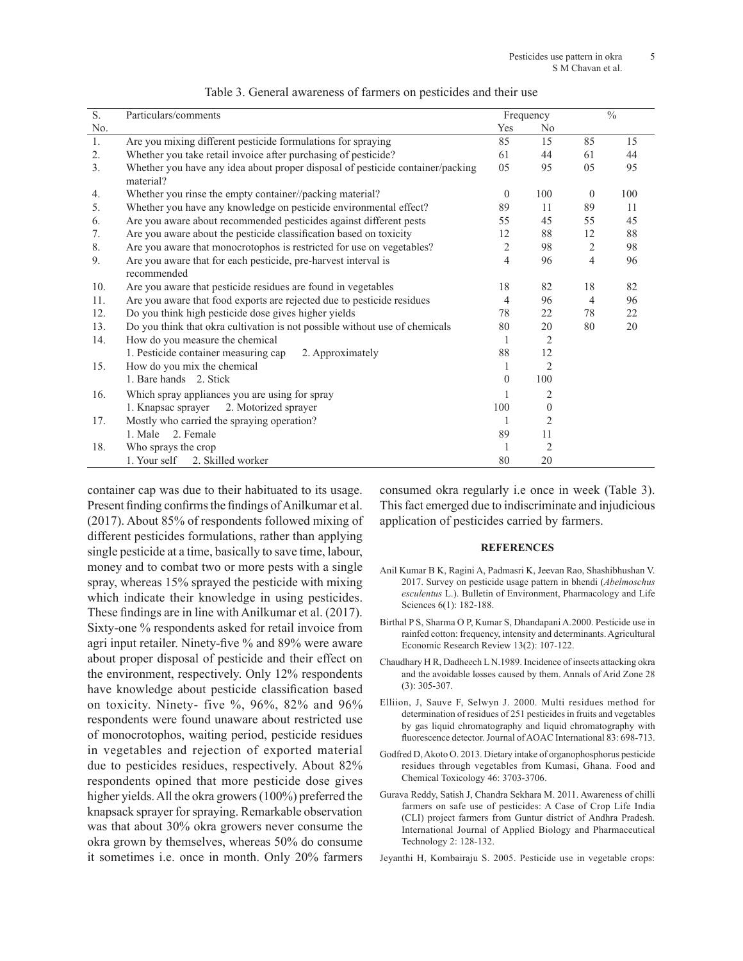| $\overline{S}$ . | Particulars/comments                                                                        |          | Frequency      |                | $\frac{0}{0}$ |  |
|------------------|---------------------------------------------------------------------------------------------|----------|----------------|----------------|---------------|--|
| No.              |                                                                                             | Yes      | N <sub>0</sub> |                |               |  |
| 1.               | Are you mixing different pesticide formulations for spraying                                | 85       | 15             | 85             | 15            |  |
| 2.               | Whether you take retail invoice after purchasing of pesticide?                              | 61       | 44             | 61             | 44            |  |
| 3.               | Whether you have any idea about proper disposal of pesticide container/packing<br>material? | 05       | 95             | 05             | 95            |  |
| 4.               | Whether you rinse the empty container//packing material?                                    | $\theta$ | 100            | $\theta$       | 100           |  |
| 5.               | Whether you have any knowledge on pesticide environmental effect?                           |          | 11             | 89             | 11            |  |
| 6.               | Are you aware about recommended pesticides against different pests                          |          | 45             | 55             | 45            |  |
| 7.               | Are you aware about the pesticide classification based on toxicity                          | 12       | 88             | 12             | 88            |  |
| 8.               | Are you aware that monocrotophos is restricted for use on vegetables?                       | 2        | 98             | 2              | 98            |  |
| 9.               | Are you aware that for each pesticide, pre-harvest interval is<br>recommended               | 4        | 96             | $\overline{4}$ | 96            |  |
| 10.              | Are you aware that pesticide residues are found in vegetables                               | 18       | 82             | 18             | 82            |  |
| 11.              | Are you aware that food exports are rejected due to pesticide residues                      | 4        | 96             | 4              | 96            |  |
| 12.              | Do you think high pesticide dose gives higher yields                                        | 78       | 22             | 78             | 22            |  |
| 13.              | Do you think that okra cultivation is not possible without use of chemicals                 | 80       | 20             | 80             | 20            |  |
| 14.              | How do you measure the chemical                                                             | 1        | 2              |                |               |  |
|                  | 1. Pesticide container measuring cap<br>2. Approximately                                    | 88       | 12             |                |               |  |
| 15.              | How do you mix the chemical                                                                 |          | 2              |                |               |  |
|                  | 1. Bare hands 2. Stick                                                                      | $\theta$ | 100            |                |               |  |
| 16.              | Which spray appliances you are using for spray                                              |          | 2              |                |               |  |
|                  | 2. Motorized sprayer<br>1. Knapsac sprayer                                                  | 100      | $\mathbf{0}$   |                |               |  |
| 17.              | Mostly who carried the spraying operation?                                                  | 1        | $\overline{2}$ |                |               |  |
|                  | 2. Female<br>1. Male                                                                        | 89       | 11             |                |               |  |
| 18.              | Who sprays the crop                                                                         |          | $\overline{2}$ |                |               |  |
|                  | 2. Skilled worker<br>1. Your self                                                           | 80       | 20             |                |               |  |

container cap was due to their habituated to its usage. Present finding confirms the findings of Anilkumar et al. (2017). About 85% of respondents followed mixing of different pesticides formulations, rather than applying single pesticide at a time, basically to save time, labour, money and to combat two or more pests with a single spray, whereas 15% sprayed the pesticide with mixing which indicate their knowledge in using pesticides. These findings are in line with Anilkumar et al. (2017). Sixty-one % respondents asked for retail invoice from agri input retailer. Ninety-five % and 89% were aware about proper disposal of pesticide and their effect on the environment, respectively. Only 12% respondents have knowledge about pesticide classification based on toxicity. Ninety- five %, 96%, 82% and 96% respondents were found unaware about restricted use of monocrotophos, waiting period, pesticide residues in vegetables and rejection of exported material due to pesticides residues, respectively. About 82% respondents opined that more pesticide dose gives higher yields. All the okra growers (100%) preferred the knapsack sprayer for spraying. Remarkable observation was that about 30% okra growers never consume the okra grown by themselves, whereas 50% do consume it sometimes i.e. once in month. Only 20% farmers consumed okra regularly i.e once in week (Table 3). This fact emerged due to indiscriminate and injudicious application of pesticides carried by farmers.

## **REFERENCES**

- Anil Kumar B K, Ragini A, Padmasri K, Jeevan Rao, Shashibhushan V. 2017. Survey on pesticide usage pattern in bhendi (*Abelmoschus esculentus* L.). Bulletin of Environment, Pharmacology and Life Sciences 6(1): 182-188.
- Birthal P S, Sharma O P, Kumar S, Dhandapani A.2000. Pesticide use in rainfed cotton: frequency, intensity and determinants. Agricultural Economic Research Review 13(2): 107-122.
- Chaudhary H R, Dadheech L N.1989. Incidence of insects attacking okra and the avoidable losses caused by them. Annals of Arid Zone 28 (3): 305-307.
- Elliion, J, Sauve F, Selwyn J. 2000. Multi residues method for determination of residues of 251 pesticides in fruits and vegetables by gas liquid chromatography and liquid chromatography with fluorescence detector. Journal of AOAC International 83: 698-713.
- Godfred D, Akoto O. 2013. Dietary intake of organophosphorus pesticide residues through vegetables from Kumasi, Ghana. Food and Chemical Toxicology 46: 3703-3706.
- Gurava Reddy, Satish J, Chandra Sekhara M. 2011. Awareness of chilli farmers on safe use of pesticides: A Case of Crop Life India (CLI) project farmers from Guntur district of Andhra Pradesh. International Journal of Applied Biology and Pharmaceutical Technology 2: 128-132.
- Jeyanthi H, Kombairaju S. 2005. Pesticide use in vegetable crops: